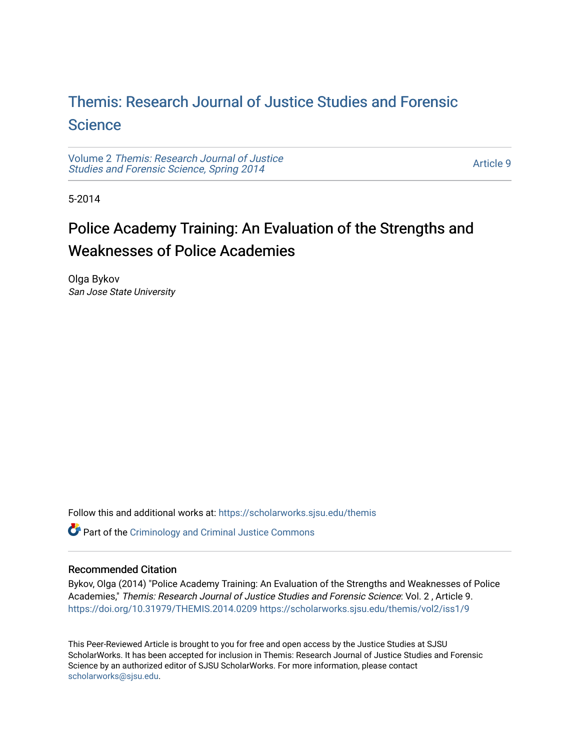## [Themis: Research Journal of Justice Studies and Forensic](https://scholarworks.sjsu.edu/themis)  **Science**

Volume 2 [Themis: Research Journal of Justice](https://scholarworks.sjsu.edu/themis/vol2)  [Studies and Forensic Science, Spring 2014](https://scholarworks.sjsu.edu/themis/vol2) 

[Article 9](https://scholarworks.sjsu.edu/themis/vol2/iss1/9) 

5-2014

# Police Academy Training: An Evaluation of the Strengths and Weaknesses of Police Academies

Olga Bykov San Jose State University

Follow this and additional works at: [https://scholarworks.sjsu.edu/themis](https://scholarworks.sjsu.edu/themis?utm_source=scholarworks.sjsu.edu%2Fthemis%2Fvol2%2Fiss1%2F9&utm_medium=PDF&utm_campaign=PDFCoverPages)

Part of the [Criminology and Criminal Justice Commons](http://network.bepress.com/hgg/discipline/367?utm_source=scholarworks.sjsu.edu%2Fthemis%2Fvol2%2Fiss1%2F9&utm_medium=PDF&utm_campaign=PDFCoverPages)

### Recommended Citation

Bykov, Olga (2014) "Police Academy Training: An Evaluation of the Strengths and Weaknesses of Police Academies," Themis: Research Journal of Justice Studies and Forensic Science: Vol. 2 , Article 9. <https://doi.org/10.31979/THEMIS.2014.0209> [https://scholarworks.sjsu.edu/themis/vol2/iss1/9](https://scholarworks.sjsu.edu/themis/vol2/iss1/9?utm_source=scholarworks.sjsu.edu%2Fthemis%2Fvol2%2Fiss1%2F9&utm_medium=PDF&utm_campaign=PDFCoverPages) 

This Peer-Reviewed Article is brought to you for free and open access by the Justice Studies at SJSU ScholarWorks. It has been accepted for inclusion in Themis: Research Journal of Justice Studies and Forensic Science by an authorized editor of SJSU ScholarWorks. For more information, please contact [scholarworks@sjsu.edu](mailto:scholarworks@sjsu.edu).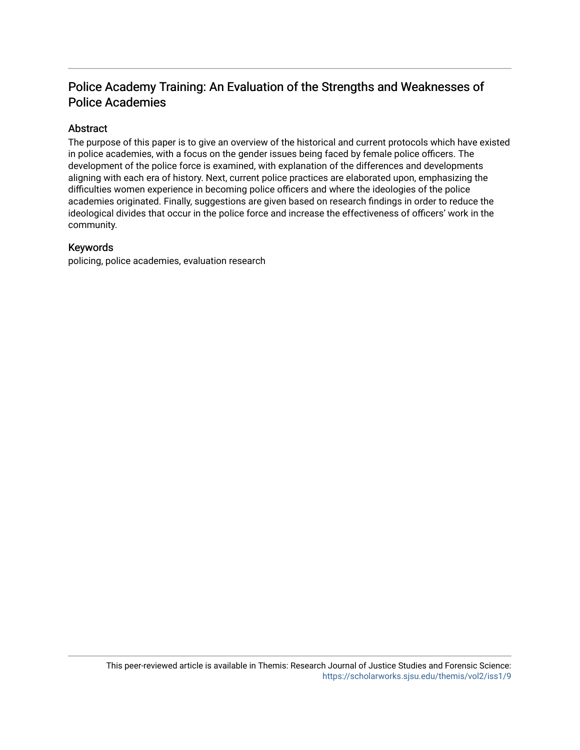## Police Academy Training: An Evaluation of the Strengths and Weaknesses of Police Academies

## Abstract

The purpose of this paper is to give an overview of the historical and current protocols which have existed in police academies, with a focus on the gender issues being faced by female police officers. The development of the police force is examined, with explanation of the differences and developments aligning with each era of history. Next, current police practices are elaborated upon, emphasizing the difficulties women experience in becoming police officers and where the ideologies of the police academies originated. Finally, suggestions are given based on research findings in order to reduce the ideological divides that occur in the police force and increase the effectiveness of officers' work in the community.

## Keywords

policing, police academies, evaluation research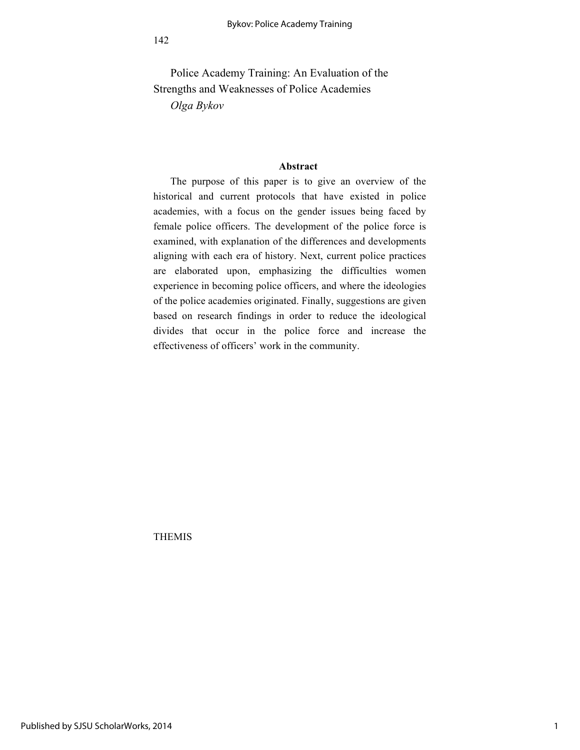Police Academy Training: An Evaluation of the Strengths and Weaknesses of Police Academies *Olga Bykov*

#### **Abstract**

The purpose of this paper is to give an overview of the historical and current protocols that have existed in police academies, with a focus on the gender issues being faced by female police officers. The development of the police force is examined, with explanation of the differences and developments aligning with each era of history. Next, current police practices are elaborated upon, emphasizing the difficulties women experience in becoming police officers, and where the ideologies of the police academies originated. Finally, suggestions are given based on research findings in order to reduce the ideological divides that occur in the police force and increase the effectiveness of officers' work in the community.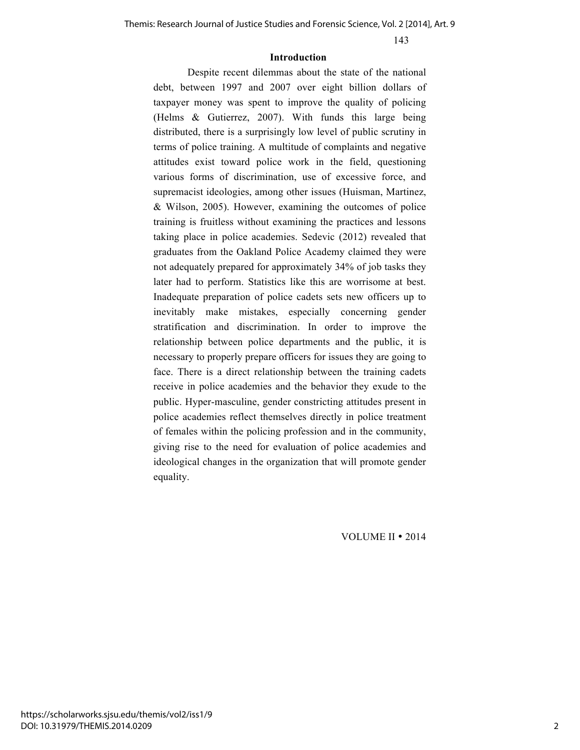#### **Introduction**

Despite recent dilemmas about the state of the national debt, between 1997 and 2007 over eight billion dollars of taxpayer money was spent to improve the quality of policing (Helms & Gutierrez, 2007). With funds this large being distributed, there is a surprisingly low level of public scrutiny in terms of police training. A multitude of complaints and negative attitudes exist toward police work in the field, questioning various forms of discrimination, use of excessive force, and supremacist ideologies, among other issues (Huisman, Martinez, & Wilson, 2005). However, examining the outcomes of police training is fruitless without examining the practices and lessons taking place in police academies. Sedevic (2012) revealed that graduates from the Oakland Police Academy claimed they were not adequately prepared for approximately 34% of job tasks they later had to perform. Statistics like this are worrisome at best. Inadequate preparation of police cadets sets new officers up to inevitably make mistakes, especially concerning gender stratification and discrimination. In order to improve the relationship between police departments and the public, it is necessary to properly prepare officers for issues they are going to face. There is a direct relationship between the training cadets receive in police academies and the behavior they exude to the public. Hyper-masculine, gender constricting attitudes present in police academies reflect themselves directly in police treatment of females within the policing profession and in the community, giving rise to the need for evaluation of police academies and ideological changes in the organization that will promote gender equality.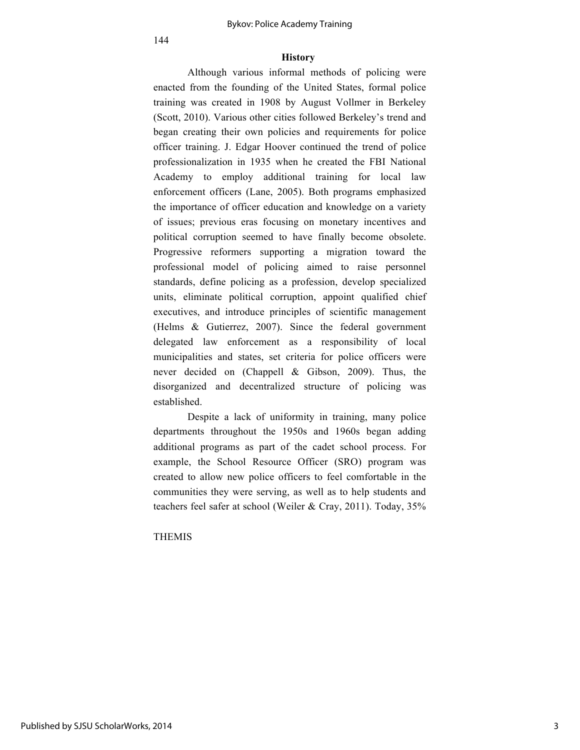#### **History**

Although various informal methods of policing were enacted from the founding of the United States, formal police training was created in 1908 by August Vollmer in Berkeley (Scott, 2010). Various other cities followed Berkeley's trend and began creating their own policies and requirements for police officer training. J. Edgar Hoover continued the trend of police professionalization in 1935 when he created the FBI National Academy to employ additional training for local law enforcement officers (Lane, 2005). Both programs emphasized the importance of officer education and knowledge on a variety of issues; previous eras focusing on monetary incentives and political corruption seemed to have finally become obsolete. Progressive reformers supporting a migration toward the professional model of policing aimed to raise personnel standards, define policing as a profession, develop specialized units, eliminate political corruption, appoint qualified chief executives, and introduce principles of scientific management (Helms & Gutierrez, 2007). Since the federal government delegated law enforcement as a responsibility of local municipalities and states, set criteria for police officers were never decided on (Chappell & Gibson, 2009). Thus, the disorganized and decentralized structure of policing was established.

Despite a lack of uniformity in training, many police departments throughout the 1950s and 1960s began adding additional programs as part of the cadet school process. For example, the School Resource Officer (SRO) program was created to allow new police officers to feel comfortable in the communities they were serving, as well as to help students and teachers feel safer at school (Weiler & Cray, 2011). Today, 35%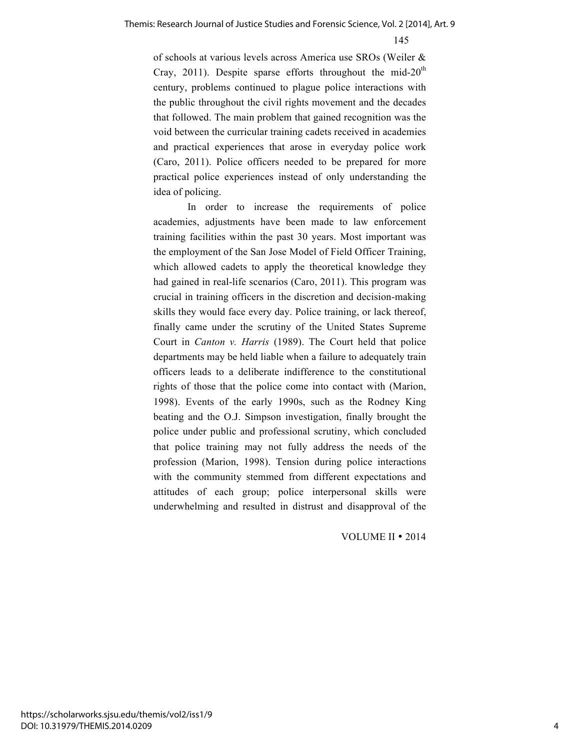of schools at various levels across America use SROs (Weiler & Cray, 2011). Despite sparse efforts throughout the mid-20<sup>th</sup> century, problems continued to plague police interactions with the public throughout the civil rights movement and the decades that followed. The main problem that gained recognition was the void between the curricular training cadets received in academies and practical experiences that arose in everyday police work (Caro, 2011). Police officers needed to be prepared for more practical police experiences instead of only understanding the idea of policing.

In order to increase the requirements of police academies, adjustments have been made to law enforcement training facilities within the past 30 years. Most important was the employment of the San Jose Model of Field Officer Training, which allowed cadets to apply the theoretical knowledge they had gained in real-life scenarios (Caro, 2011). This program was crucial in training officers in the discretion and decision-making skills they would face every day. Police training, or lack thereof, finally came under the scrutiny of the United States Supreme Court in *Canton v. Harris* (1989). The Court held that police departments may be held liable when a failure to adequately train officers leads to a deliberate indifference to the constitutional rights of those that the police come into contact with (Marion, 1998). Events of the early 1990s, such as the Rodney King beating and the O.J. Simpson investigation, finally brought the police under public and professional scrutiny, which concluded that police training may not fully address the needs of the profession (Marion, 1998). Tension during police interactions with the community stemmed from different expectations and attitudes of each group; police interpersonal skills were underwhelming and resulted in distrust and disapproval of the

<sup>145</sup>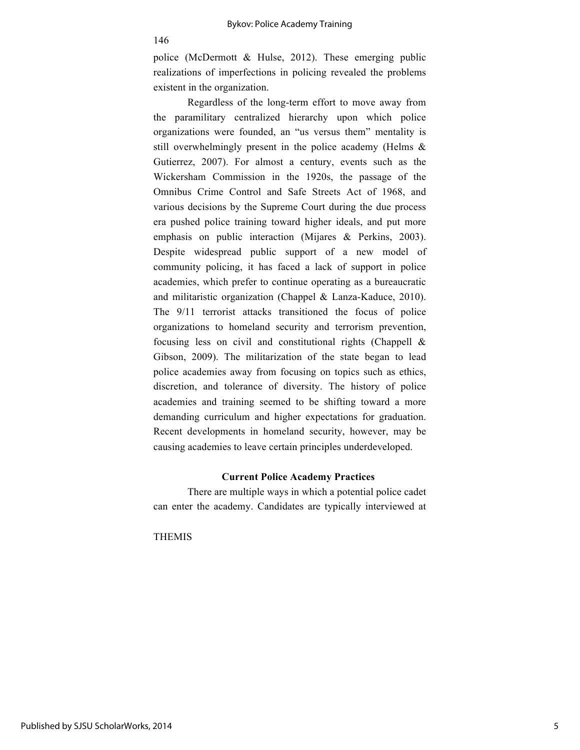police (McDermott & Hulse, 2012). These emerging public realizations of imperfections in policing revealed the problems existent in the organization.

Regardless of the long-term effort to move away from the paramilitary centralized hierarchy upon which police organizations were founded, an "us versus them" mentality is still overwhelmingly present in the police academy (Helms & Gutierrez, 2007). For almost a century, events such as the Wickersham Commission in the 1920s, the passage of the Omnibus Crime Control and Safe Streets Act of 1968, and various decisions by the Supreme Court during the due process era pushed police training toward higher ideals, and put more emphasis on public interaction (Mijares & Perkins, 2003). Despite widespread public support of a new model of community policing, it has faced a lack of support in police academies, which prefer to continue operating as a bureaucratic and militaristic organization (Chappel & Lanza-Kaduce, 2010). The 9/11 terrorist attacks transitioned the focus of police organizations to homeland security and terrorism prevention, focusing less on civil and constitutional rights (Chappell & Gibson, 2009). The militarization of the state began to lead police academies away from focusing on topics such as ethics, discretion, and tolerance of diversity. The history of police academies and training seemed to be shifting toward a more demanding curriculum and higher expectations for graduation. Recent developments in homeland security, however, may be causing academies to leave certain principles underdeveloped.

#### **Current Police Academy Practices**

There are multiple ways in which a potential police cadet can enter the academy. Candidates are typically interviewed at

THEMIS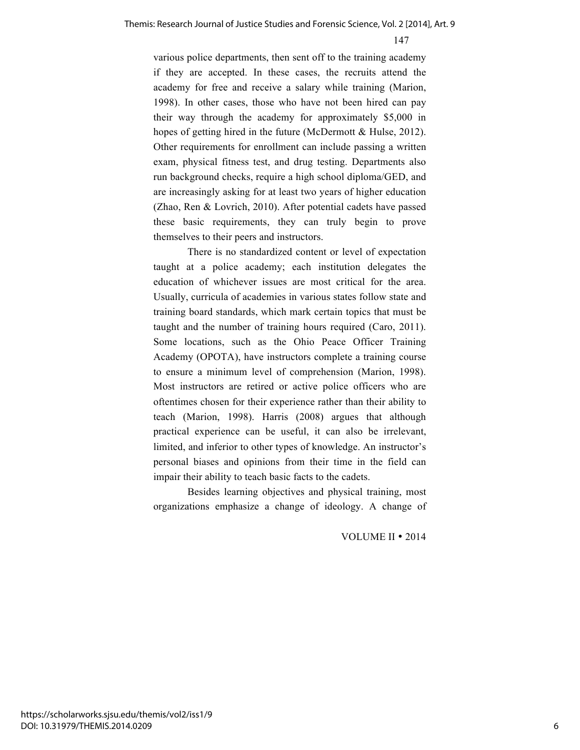various police departments, then sent off to the training academy if they are accepted. In these cases, the recruits attend the academy for free and receive a salary while training (Marion, 1998). In other cases, those who have not been hired can pay their way through the academy for approximately \$5,000 in hopes of getting hired in the future (McDermott & Hulse, 2012). Other requirements for enrollment can include passing a written exam, physical fitness test, and drug testing. Departments also run background checks, require a high school diploma/GED, and are increasingly asking for at least two years of higher education (Zhao, Ren & Lovrich, 2010). After potential cadets have passed these basic requirements, they can truly begin to prove themselves to their peers and instructors.

There is no standardized content or level of expectation taught at a police academy; each institution delegates the education of whichever issues are most critical for the area. Usually, curricula of academies in various states follow state and training board standards, which mark certain topics that must be taught and the number of training hours required (Caro, 2011). Some locations, such as the Ohio Peace Officer Training Academy (OPOTA), have instructors complete a training course to ensure a minimum level of comprehension (Marion, 1998). Most instructors are retired or active police officers who are oftentimes chosen for their experience rather than their ability to teach (Marion, 1998). Harris (2008) argues that although practical experience can be useful, it can also be irrelevant, limited, and inferior to other types of knowledge. An instructor's personal biases and opinions from their time in the field can impair their ability to teach basic facts to the cadets.

Besides learning objectives and physical training, most organizations emphasize a change of ideology. A change of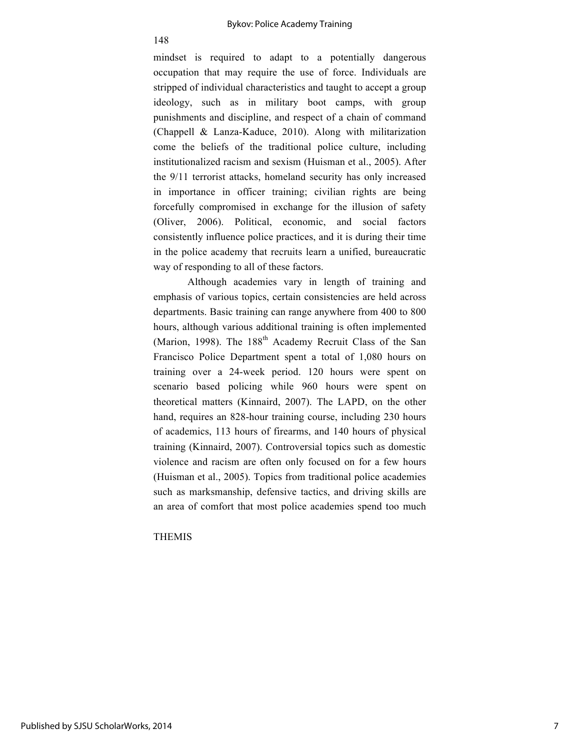#### Bykov: Police Academy Training

mindset is required to adapt to a potentially dangerous occupation that may require the use of force. Individuals are stripped of individual characteristics and taught to accept a group ideology, such as in military boot camps, with group punishments and discipline, and respect of a chain of command (Chappell & Lanza-Kaduce, 2010). Along with militarization come the beliefs of the traditional police culture, including institutionalized racism and sexism (Huisman et al., 2005). After the 9/11 terrorist attacks, homeland security has only increased in importance in officer training; civilian rights are being forcefully compromised in exchange for the illusion of safety (Oliver, 2006). Political, economic, and social factors consistently influence police practices, and it is during their time in the police academy that recruits learn a unified, bureaucratic way of responding to all of these factors.

Although academies vary in length of training and emphasis of various topics, certain consistencies are held across departments. Basic training can range anywhere from 400 to 800 hours, although various additional training is often implemented (Marion, 1998). The  $188<sup>th</sup>$  Academy Recruit Class of the San Francisco Police Department spent a total of 1,080 hours on training over a 24-week period. 120 hours were spent on scenario based policing while 960 hours were spent on theoretical matters (Kinnaird, 2007). The LAPD, on the other hand, requires an 828-hour training course, including 230 hours of academics, 113 hours of firearms, and 140 hours of physical training (Kinnaird, 2007). Controversial topics such as domestic violence and racism are often only focused on for a few hours (Huisman et al., 2005). Topics from traditional police academies such as marksmanship, defensive tactics, and driving skills are an area of comfort that most police academies spend too much

#### THEMIS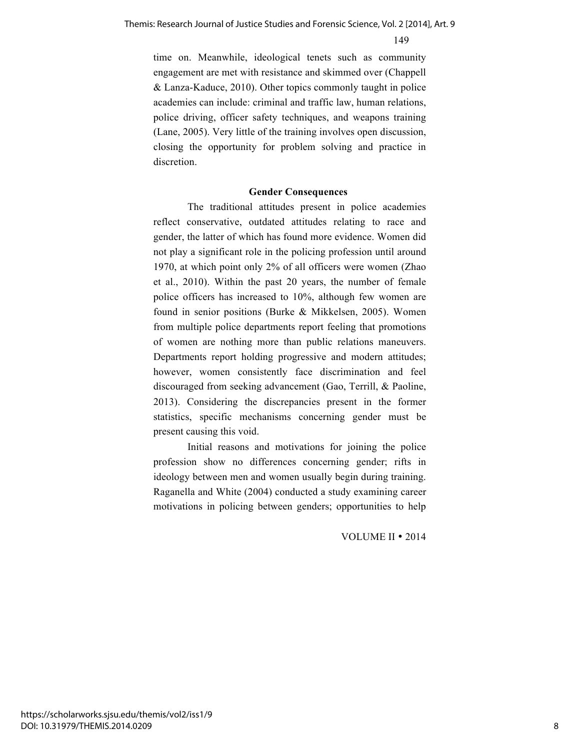time on. Meanwhile, ideological tenets such as community engagement are met with resistance and skimmed over (Chappell & Lanza-Kaduce, 2010). Other topics commonly taught in police academies can include: criminal and traffic law, human relations, police driving, officer safety techniques, and weapons training (Lane, 2005). Very little of the training involves open discussion, closing the opportunity for problem solving and practice in discretion.

#### **Gender Consequences**

The traditional attitudes present in police academies reflect conservative, outdated attitudes relating to race and gender, the latter of which has found more evidence. Women did not play a significant role in the policing profession until around 1970, at which point only 2% of all officers were women (Zhao et al., 2010). Within the past 20 years, the number of female police officers has increased to 10%, although few women are found in senior positions (Burke & Mikkelsen, 2005). Women from multiple police departments report feeling that promotions of women are nothing more than public relations maneuvers. Departments report holding progressive and modern attitudes; however, women consistently face discrimination and feel discouraged from seeking advancement (Gao, Terrill, & Paoline, 2013). Considering the discrepancies present in the former statistics, specific mechanisms concerning gender must be present causing this void.

Initial reasons and motivations for joining the police profession show no differences concerning gender; rifts in ideology between men and women usually begin during training. Raganella and White (2004) conducted a study examining career motivations in policing between genders; opportunities to help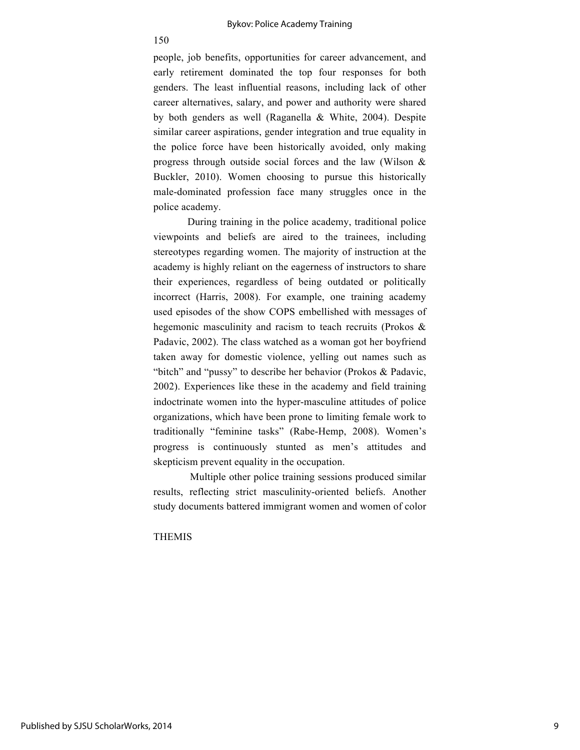people, job benefits, opportunities for career advancement, and early retirement dominated the top four responses for both genders. The least influential reasons, including lack of other career alternatives, salary, and power and authority were shared by both genders as well (Raganella & White, 2004). Despite similar career aspirations, gender integration and true equality in the police force have been historically avoided, only making progress through outside social forces and the law (Wilson & Buckler, 2010). Women choosing to pursue this historically male-dominated profession face many struggles once in the police academy.

During training in the police academy, traditional police viewpoints and beliefs are aired to the trainees, including stereotypes regarding women. The majority of instruction at the academy is highly reliant on the eagerness of instructors to share their experiences, regardless of being outdated or politically incorrect (Harris, 2008). For example, one training academy used episodes of the show COPS embellished with messages of hegemonic masculinity and racism to teach recruits (Prokos & Padavic, 2002). The class watched as a woman got her boyfriend taken away for domestic violence, yelling out names such as "bitch" and "pussy" to describe her behavior (Prokos & Padavic, 2002). Experiences like these in the academy and field training indoctrinate women into the hyper-masculine attitudes of police organizations, which have been prone to limiting female work to traditionally "feminine tasks" (Rabe-Hemp, 2008). Women's progress is continuously stunted as men's attitudes and skepticism prevent equality in the occupation.

Multiple other police training sessions produced similar results, reflecting strict masculinity-oriented beliefs. Another study documents battered immigrant women and women of color

#### THEMIS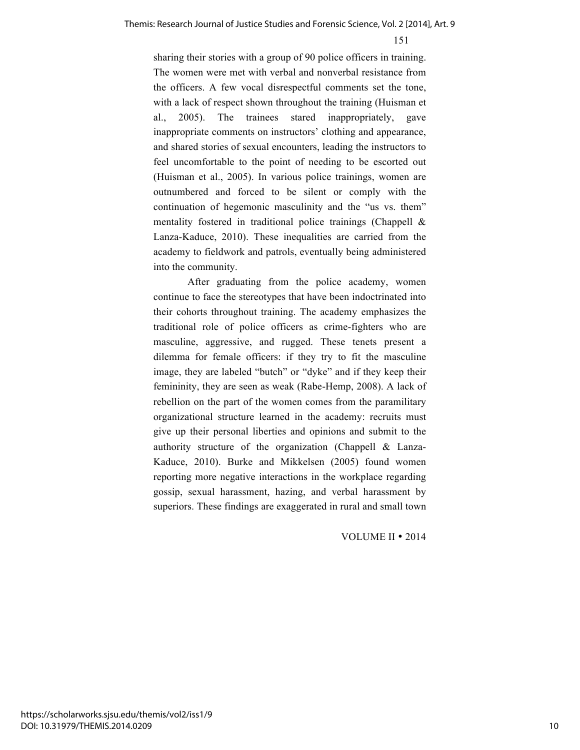sharing their stories with a group of 90 police officers in training. The women were met with verbal and nonverbal resistance from the officers. A few vocal disrespectful comments set the tone, with a lack of respect shown throughout the training (Huisman et al., 2005). The trainees stared inappropriately, gave inappropriate comments on instructors' clothing and appearance, and shared stories of sexual encounters, leading the instructors to feel uncomfortable to the point of needing to be escorted out (Huisman et al., 2005). In various police trainings, women are outnumbered and forced to be silent or comply with the continuation of hegemonic masculinity and the "us vs. them" mentality fostered in traditional police trainings (Chappell & Lanza-Kaduce, 2010). These inequalities are carried from the academy to fieldwork and patrols, eventually being administered into the community.

After graduating from the police academy, women continue to face the stereotypes that have been indoctrinated into their cohorts throughout training. The academy emphasizes the traditional role of police officers as crime-fighters who are masculine, aggressive, and rugged. These tenets present a dilemma for female officers: if they try to fit the masculine image, they are labeled "butch" or "dyke" and if they keep their femininity, they are seen as weak (Rabe-Hemp, 2008). A lack of rebellion on the part of the women comes from the paramilitary organizational structure learned in the academy: recruits must give up their personal liberties and opinions and submit to the authority structure of the organization (Chappell & Lanza-Kaduce, 2010). Burke and Mikkelsen (2005) found women reporting more negative interactions in the workplace regarding gossip, sexual harassment, hazing, and verbal harassment by superiors. These findings are exaggerated in rural and small town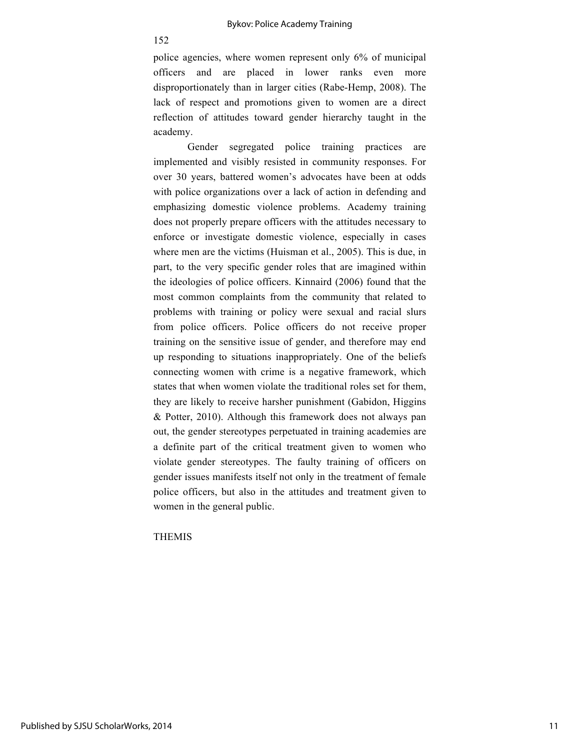police agencies, where women represent only 6% of municipal officers and are placed in lower ranks even more disproportionately than in larger cities (Rabe-Hemp, 2008). The lack of respect and promotions given to women are a direct reflection of attitudes toward gender hierarchy taught in the academy.

Gender segregated police training practices are implemented and visibly resisted in community responses. For over 30 years, battered women's advocates have been at odds with police organizations over a lack of action in defending and emphasizing domestic violence problems. Academy training does not properly prepare officers with the attitudes necessary to enforce or investigate domestic violence, especially in cases where men are the victims (Huisman et al., 2005). This is due, in part, to the very specific gender roles that are imagined within the ideologies of police officers. Kinnaird (2006) found that the most common complaints from the community that related to problems with training or policy were sexual and racial slurs from police officers. Police officers do not receive proper training on the sensitive issue of gender, and therefore may end up responding to situations inappropriately. One of the beliefs connecting women with crime is a negative framework, which states that when women violate the traditional roles set for them, they are likely to receive harsher punishment (Gabidon, Higgins & Potter, 2010). Although this framework does not always pan out, the gender stereotypes perpetuated in training academies are a definite part of the critical treatment given to women who violate gender stereotypes. The faulty training of officers on gender issues manifests itself not only in the treatment of female police officers, but also in the attitudes and treatment given to women in the general public.

#### THEMIS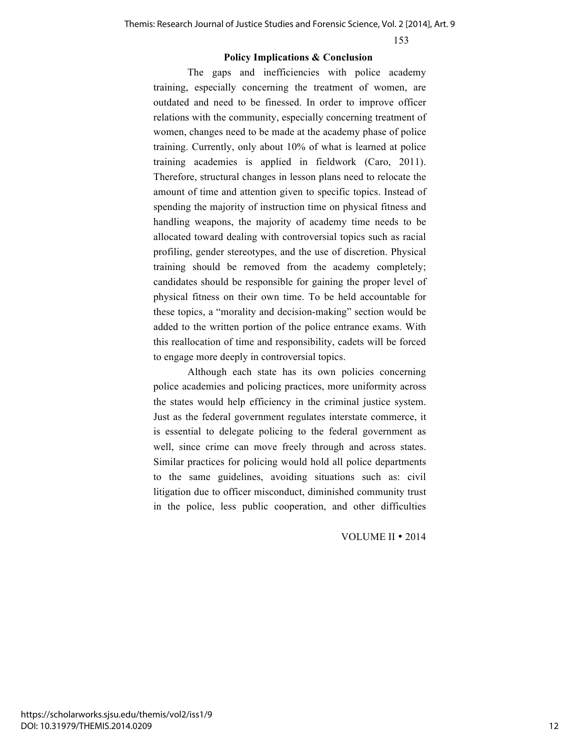#### **Policy Implications & Conclusion**

The gaps and inefficiencies with police academy training, especially concerning the treatment of women, are outdated and need to be finessed. In order to improve officer relations with the community, especially concerning treatment of women, changes need to be made at the academy phase of police training. Currently, only about 10% of what is learned at police training academies is applied in fieldwork (Caro, 2011). Therefore, structural changes in lesson plans need to relocate the amount of time and attention given to specific topics. Instead of spending the majority of instruction time on physical fitness and handling weapons, the majority of academy time needs to be allocated toward dealing with controversial topics such as racial profiling, gender stereotypes, and the use of discretion. Physical training should be removed from the academy completely; candidates should be responsible for gaining the proper level of physical fitness on their own time. To be held accountable for these topics, a "morality and decision-making" section would be added to the written portion of the police entrance exams. With this reallocation of time and responsibility, cadets will be forced to engage more deeply in controversial topics.

Although each state has its own policies concerning police academies and policing practices, more uniformity across the states would help efficiency in the criminal justice system. Just as the federal government regulates interstate commerce, it is essential to delegate policing to the federal government as well, since crime can move freely through and across states. Similar practices for policing would hold all police departments to the same guidelines, avoiding situations such as: civil litigation due to officer misconduct, diminished community trust in the police, less public cooperation, and other difficulties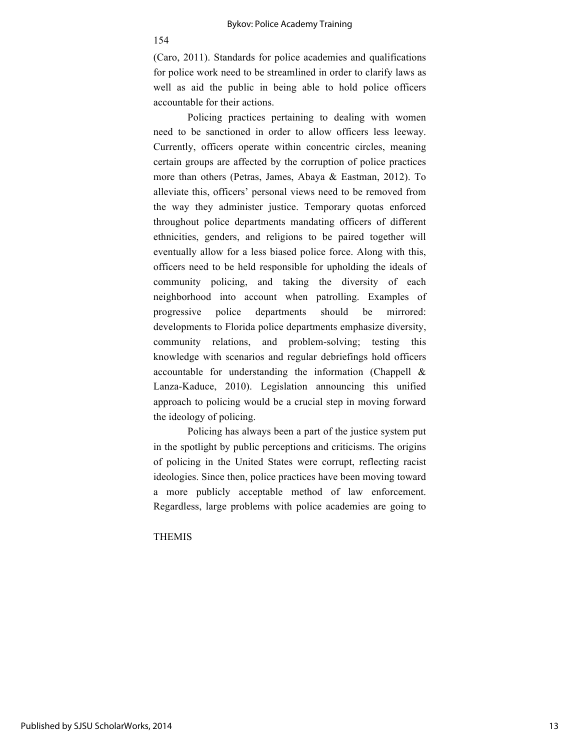#### Bykov: Police Academy Training

154

(Caro, 2011). Standards for police academies and qualifications for police work need to be streamlined in order to clarify laws as well as aid the public in being able to hold police officers accountable for their actions.

Policing practices pertaining to dealing with women need to be sanctioned in order to allow officers less leeway. Currently, officers operate within concentric circles, meaning certain groups are affected by the corruption of police practices more than others (Petras, James, Abaya & Eastman, 2012). To alleviate this, officers' personal views need to be removed from the way they administer justice. Temporary quotas enforced throughout police departments mandating officers of different ethnicities, genders, and religions to be paired together will eventually allow for a less biased police force. Along with this, officers need to be held responsible for upholding the ideals of community policing, and taking the diversity of each neighborhood into account when patrolling. Examples of progressive police departments should be mirrored: developments to Florida police departments emphasize diversity, community relations, and problem-solving; testing this knowledge with scenarios and regular debriefings hold officers accountable for understanding the information (Chappell & Lanza-Kaduce, 2010). Legislation announcing this unified approach to policing would be a crucial step in moving forward the ideology of policing.

Policing has always been a part of the justice system put in the spotlight by public perceptions and criticisms. The origins of policing in the United States were corrupt, reflecting racist ideologies. Since then, police practices have been moving toward a more publicly acceptable method of law enforcement. Regardless, large problems with police academies are going to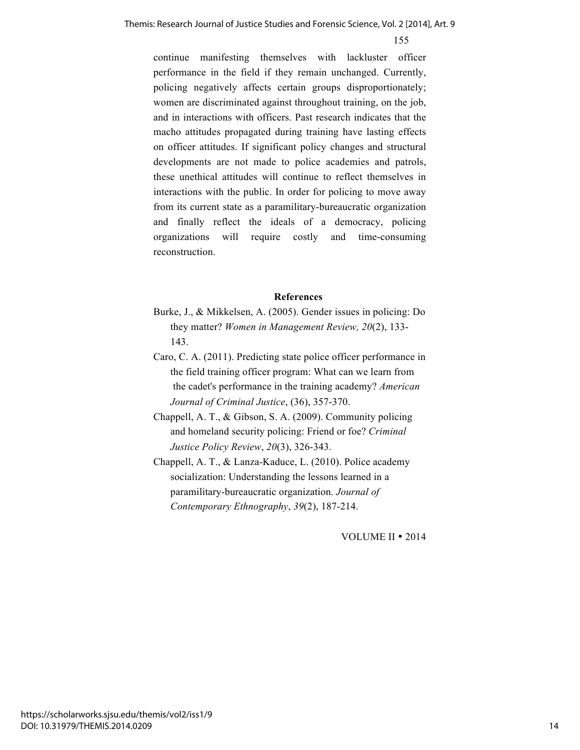continue manifesting themselves with lackluster officer performance in the field if they remain unchanged. Currently, policing negatively affects certain groups disproportionately; women are discriminated against throughout training, on the job, and in interactions with officers. Past research indicates that the macho attitudes propagated during training have lasting effects on officer attitudes. If significant policy changes and structural developments are not made to police academies and patrols, these unethical attitudes will continue to reflect themselves in interactions with the public. In order for policing to move away from its current state as a paramilitary-bureaucratic organization and finally reflect the ideals of a democracy, policing organizations will require costly and time-consuming reconstruction.

#### **References**

- Burke, J., & Mikkelsen, A. (2005). Gender issues in policing: Do they matter? *Women in Management Review, 20*(2), 133- 143.
- Caro, C. A. (2011). Predicting state police officer performance in the field training officer program: What can we learn from the cadet's performance in the training academy? *American Journal of Criminal Justice*, (36), 357-370.
- Chappell, A. T., & Gibson, S. A. (2009). Community policing and homeland security policing: Friend or foe? *Criminal Justice Policy Review*, *20*(3), 326-343.
- Chappell, A. T., & Lanza-Kaduce, L. (2010). Police academy socialization: Understanding the lessons learned in a paramilitary-bureaucratic organization. *Journal of Contemporary Ethnography*, *39*(2), 187-214.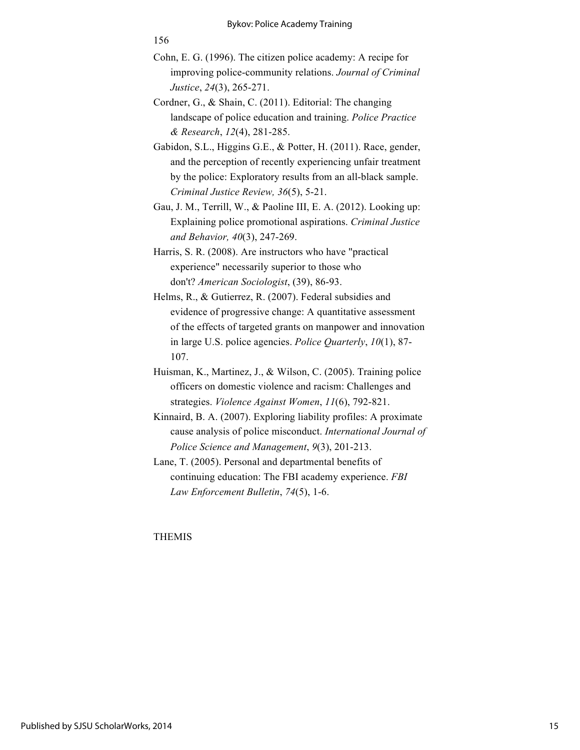- Cohn, E. G. (1996). The citizen police academy: A recipe for improving police-community relations. *Journal of Criminal Justice*, *24*(3), 265-271.
- Cordner, G., & Shain, C. (2011). Editorial: The changing landscape of police education and training. *Police Practice & Research*, *12*(4), 281-285.
- Gabidon, S.L., Higgins G.E., & Potter, H. (2011). Race, gender, and the perception of recently experiencing unfair treatment by the police: Exploratory results from an all-black sample. *Criminal Justice Review, 36*(5), 5-21.
- Gau, J. M., Terrill, W., & Paoline III, E. A. (2012). Looking up: Explaining police promotional aspirations. *Criminal Justice and Behavior, 40*(3), 247-269.
- Harris, S. R. (2008). Are instructors who have "practical experience" necessarily superior to those who don't? *American Sociologist*, (39), 86-93.
- Helms, R., & Gutierrez, R. (2007). Federal subsidies and evidence of progressive change: A quantitative assessment of the effects of targeted grants on manpower and innovation in large U.S. police agencies. *Police Quarterly*, *10*(1), 87- 107.
- Huisman, K., Martinez, J., & Wilson, C. (2005). Training police officers on domestic violence and racism: Challenges and strategies. *Violence Against Women*, *11*(6), 792-821.
- Kinnaird, B. A. (2007). Exploring liability profiles: A proximate cause analysis of police misconduct. *International Journal of Police Science and Management*, *9*(3), 201-213.
- Lane, T. (2005). Personal and departmental benefits of continuing education: The FBI academy experience. *FBI Law Enforcement Bulletin*, *74*(5), 1-6.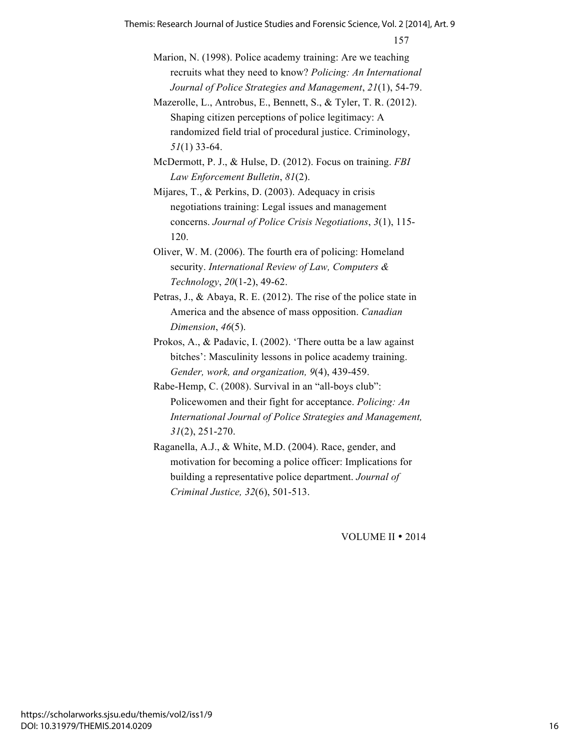157 Themis: Research Journal of Justice Studies and Forensic Science, Vol. 2 [2014], Art. 9

- Marion, N. (1998). Police academy training: Are we teaching recruits what they need to know? *Policing: An International Journal of Police Strategies and Management*, *21*(1), 54-79.
- Mazerolle, L., Antrobus, E., Bennett, S., & Tyler, T. R. (2012). Shaping citizen perceptions of police legitimacy: A randomized field trial of procedural justice. Criminology, *51*(1) 33-64.
- McDermott, P. J., & Hulse, D. (2012). Focus on training. *FBI Law Enforcement Bulletin*, *81*(2).
- Mijares, T., & Perkins, D. (2003). Adequacy in crisis negotiations training: Legal issues and management concerns. *Journal of Police Crisis Negotiations*, *3*(1), 115- 120.
- Oliver, W. M. (2006). The fourth era of policing: Homeland security. *International Review of Law, Computers & Technology*, *20*(1-2), 49-62.
- Petras, J., & Abaya, R. E. (2012). The rise of the police state in America and the absence of mass opposition. *Canadian Dimension*, *46*(5).
- Prokos, A., & Padavic, I. (2002). 'There outta be a law against bitches': Masculinity lessons in police academy training. *Gender, work, and organization, 9*(4), 439-459.
- Rabe-Hemp, C. (2008). Survival in an "all-boys club": Policewomen and their fight for acceptance. *Policing: An International Journal of Police Strategies and Management, 31*(2), 251-270.
- Raganella, A.J., & White, M.D. (2004). Race, gender, and motivation for becoming a police officer: Implications for building a representative police department. *Journal of Criminal Justice, 32*(6), 501-513.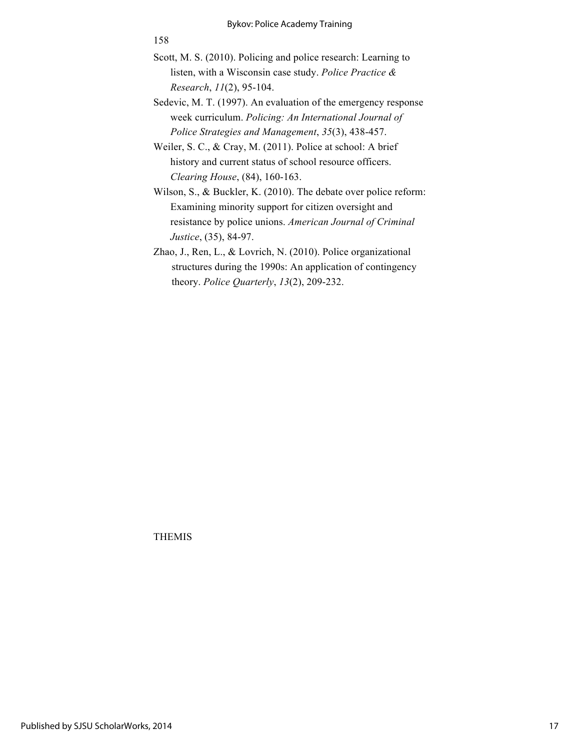- Scott, M. S. (2010). Policing and police research: Learning to listen, with a Wisconsin case study. *Police Practice & Research*, *11*(2), 95-104.
- Sedevic, M. T. (1997). An evaluation of the emergency response week curriculum. *Policing: An International Journal of Police Strategies and Management*, *35*(3), 438-457.

Weiler, S. C., & Cray, M. (2011). Police at school: A brief history and current status of school resource officers. *Clearing House*, (84), 160-163.

Wilson, S., & Buckler, K. (2010). The debate over police reform: Examining minority support for citizen oversight and resistance by police unions. *American Journal of Criminal Justice*, (35), 84-97.

Zhao, J., Ren, L., & Lovrich, N. (2010). Police organizational structures during the 1990s: An application of contingency theory. *Police Quarterly*, *13*(2), 209-232.